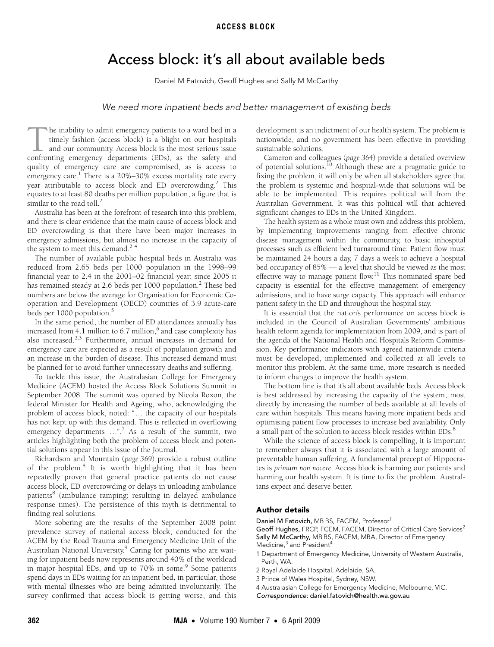## Access block: it's all about available beds

Daniel M Fatovich, Geoff Hughes and Sally M McCarthy

## We need more inpatient beds and better management of existing beds

<span id="page-0-0"></span>year attributable to access block and ED overcrowding.<sup>[2](#page-1-1)</sup> This equates to at least 80 deaths p[er m](#page-0-0)[illio](#page-1-10)n population, a figure that is r to the road tou. he inability to admit emergency patients to a ward bed in a timely fashion (access block) is a blight on our hospitals and our community. Access block is the most serious issue The inability to admit emergency patients to a ward bed in a timely fashion (access block) is a blight on our hospitals and our community. Access block is the most serious issue confronting emergency departments (EDs), as quality of emergency care are compromised, as is access to emergency care.<sup>1</sup> There is a 20%-30% excess mortality rate every similar to the road toll. $<sup>2</sup>$ </sup>

Australia has been at the forefront of research into this problem, and there is clear evidence that the main cause of access block and ED overcrowding is that there have been major increases in emergency admissions, but almost no increase in the capacity of the system to meet this demand.<sup>2-[4](#page-1-2)</sup>

The number of available public hospital beds in Australia was reduced from 2.65 beds per 1000 population in the 1998–99 financial year to 2.4 in the 2001–02 financial year; since 2005 it has remained steady at [2](#page-1-1).6 beds per 1000 population.<sup>2</sup> These bed numbers are below the average for Organisation for Economic Cooperation and Development (OECD) countries of 3.9 acute-care beds per 1000 population.<sup>5</sup>

In the same period, the number of ED attendances annually has increased from 4.1 million to 6.7 million,<sup>6</sup> and case complexity has also increased.[2,](#page-1-1)[3](#page-1-5) Furthermore, annual increases in demand for emergency care are expected as a result of population growth and an increase in the burden of disease. This increased demand must be planned for to avoid further unnecessary deaths and suffering.

To tackle this issue, the Australasian College for Emergency Medicine (ACEM) hosted the Access Block Solutions Summit in September 2008. The summit was opened by Nicola Roxon, the federal Minister for Health and Ageing, who, acknowledging the problem of access block, noted: "... the capacity of our hospitals has not kept up with this demand. This is reflected in overflowing emergency departments ...".<sup>[7](#page-1-6)</sup> As a result of the summit, two articles highlighting both the problem of access block and potential solutions appear in this issue of the Journal.

Richardson and Mountain (*page 369*) provide a robust outline of the problem.<sup>[8](#page-1-7)</sup> It is worth highlighting that it has been repeatedly proven that general practice patients do not cause access block, ED overcrowding or delays in unloading ambulance patients<sup>[8](#page-1-7)</sup> (ambulance ramping; resulting in delayed ambulance response times). The persistence of this myth is detrimental to finding real solutions.

More sobering are the results of the September 2008 point prevalence survey of national access block, conducted for the ACEM by the Road Trauma and Emergency Medicine Unit of the Australian National University.<sup>9</sup> Caring for patients who are waiting for inpatient beds now represents around 40% of the workload in major hospital EDs, and up to 70% in some.<sup>9</sup> Some patients spend days in EDs waiting for an inpatient bed, in particular, those with mental illnesses who are being admitted involuntarily. The survey confirmed that access block is getting worse, and this

development is an indictment of our health system. The problem is nationwide, and no government has been effective in providing sustainable solutions.

Cameron and colleagues (*page 364*) provide a detailed overview of potential solutions.<sup>10</sup> Although these are a pragmatic guide to fixing the problem, it will only be when all stakeholders agree that the problem is systemic and hospital-wide that solutions will be able to be implemented. This requires political will from the Australian Government. It was this political will that achieved significant changes to EDs in the United Kingdom.

The health system as a whole must own and address this problem, by implementing improvements ranging from effective chronic disease management within the community, to basic inhospital processes such as efficient bed turnaround time. Patient flow must be maintained 24 hours a day, 7 days a week to achieve a hospital bed occupancy of 85% — a level that should be viewed as the most effective way to manage patient flow.<sup>11</sup> This nominated spare bed capacity is essential for the effective management of emergency admissions, and to have surge capacity. This approach will enhance patient safety in the ED and throughout the hospital stay.

It is essential that the nation's performance on access block is included in the Council of Australian Governments' ambitious health reform agenda for implementation from 2009, and is part of the agenda of the National Health and Hospitals Reform Commission. Key performance indicators with agreed nationwide criteria must be developed, implemented and collected at all levels to monitor this problem. At the same time, more research is needed to inform changes to improve the health system.

The bottom line is that it's all about available beds. Access block is best addressed by increasing the capacity of the system, most directly by increasing the number of beds available at all levels of care within hospitals. This means having more inpatient beds and optimising patient flow processes to increase bed availability. Only a small part of the solution to access block resides within EDs.<sup>[8](#page-1-7)</sup>

While the science of access block is compelling, it is important to remember always that it is associated with a large amount of preventable human suffering. A fundamental precept of Hippocrates is *primum non nocere*. Access block is harming our patients and harming our health system. It is time to fix the problem. Australians expect and deserve better.

## Author details

Daniel M Fatovich, MB BS, FACEM, Professor<sup>1</sup>

Geoff Hughes, FRCP, FCEM, FACEM, Director of Critical Care Services<sup>2</sup> Sally M McCarthy, MB BS, FACEM, MBA, Director of Emergency Medicine,<sup>3</sup> and President<sup>4</sup>

- 1 Department of Emergency Medicine, University of Western Australia, Perth, WA.
- 2 Royal Adelaide Hospital, Adelaide, SA.
- 3 Prince of Wales Hospital, Sydney, NSW.
- 4 Australasian College for Emergency Medicine, Melbourne, VIC.
- Correspondence: daniel.fatovich@health.wa.gov.au